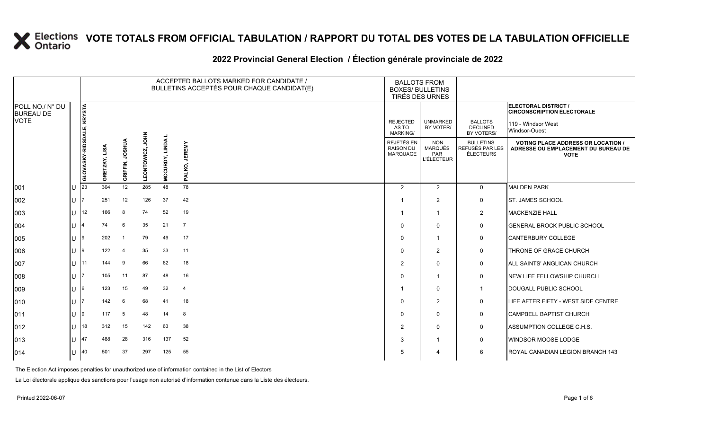### **2022 Provincial General Election / Élection générale provinciale de 2022**

|                                     |                |                           |               |                          |                  |                                | ACCEPTED BALLOTS MARKED FOR CANDIDATE /<br>BULLETINS ACCEPTÉS POUR CHAQUE CANDIDAT(E) | <b>BALLOTS FROM</b><br><b>BOXES/ BULLETINS</b><br>TIRÉS DES URNES |                                                          |                                                  |                                                                                                 |
|-------------------------------------|----------------|---------------------------|---------------|--------------------------|------------------|--------------------------------|---------------------------------------------------------------------------------------|-------------------------------------------------------------------|----------------------------------------------------------|--------------------------------------------------|-------------------------------------------------------------------------------------------------|
| POLL NO./ N° DU<br><b>BUREAU DE</b> |                |                           |               |                          |                  |                                |                                                                                       |                                                                   |                                                          |                                                  | <b>ELECTORAL DISTRICT /</b><br><b>CIRCONSCRIPTION ÉLECTORALE</b>                                |
| <b>VOTE</b>                         |                |                           |               |                          |                  |                                |                                                                                       | <b>REJECTED</b><br>AS TO<br>MARKING/                              | <b>UNMARKED</b><br>BY VOTER/                             | <b>BALLOTS</b><br><b>DECLINED</b><br>BY VOTERS/  | 119 - Windsor West<br>Windsor-Ouest                                                             |
|                                     |                | GLOVASKY-RIDSDALE, KRYSTA | GRETZKY, LISA | <b>HISOL</b><br>GRIFFIN, | 줄<br>LEONTOWICZ, | <b>LINDA</b><br><b>MCCURDY</b> | <b>JEREMY</b><br>ALKO,                                                                | REJETÉS EN<br>RAISON DU<br>MARQUAGE                               | <b>NON</b><br><b>MARQUÉS</b><br>PAR<br><b>L'ÉLECTEUR</b> | <b>BULLETINS</b><br>REFUSÉS PAR LES<br>ÉLECTEURS | <b>VOTING PLACE ADDRESS OR LOCATION /</b><br>ADRESSE OU EMPLACEMENT DU BUREAU DE<br><b>VOTE</b> |
| 001                                 | U              | 23                        | 304           | 12                       | 285              | 48                             | $\mathbf{a}$<br>78                                                                    | 2                                                                 | 2                                                        | $\mathbf 0$                                      | <b>MALDEN PARK</b>                                                                              |
| 002                                 | lU.            |                           | 251           | 12                       | 126              | 37                             | 42                                                                                    |                                                                   | $\overline{2}$                                           | 0                                                | <b>IST. JAMES SCHOOL</b>                                                                        |
| 003                                 | lu             | 12                        | 166           | 8                        | 74               | 52                             | 19                                                                                    |                                                                   | -1                                                       | $\overline{2}$                                   | <b>MACKENZIE HALL</b>                                                                           |
| 004                                 | lU.            |                           | 74            | 6                        | 35               | 21                             | $\overline{7}$                                                                        | $\Omega$                                                          | $\Omega$                                                 | $\mathbf 0$                                      | <b>IGENERAL BROCK PUBLIC SCHOOL</b>                                                             |
| 005                                 | ln la          |                           | 202           | -1                       | 79               | 49                             | 17                                                                                    | $\Omega$                                                          | -1                                                       | 0                                                | CANTERBURY COLLEGE                                                                              |
| 006                                 | IU 19          |                           | 122           | $\overline{4}$           | 35               | 33                             | 11                                                                                    | $\Omega$                                                          | $\overline{2}$                                           | 0                                                | THRONE OF GRACE CHURCH                                                                          |
| 007                                 | $U$ 11         |                           | 144           | 9                        | 66               | 62                             | 18                                                                                    | $\mathcal{P}$                                                     | $\Omega$                                                 | 0                                                | <b>ALL SAINTS' ANGLICAN CHURCH</b>                                                              |
| 008                                 | IU 17          |                           | 105           | 11                       | 87               | 48                             | 16                                                                                    | $\Omega$                                                          | -1                                                       | 0                                                | <b>INEW LIFE FELLOWSHIP CHURCH</b>                                                              |
| 009                                 | lU.            | 16                        | 123           | 15                       | 49               | 32                             | $\overline{4}$                                                                        |                                                                   | $\mathbf{0}$                                             | $\mathbf{1}$                                     | DOUGALL PUBLIC SCHOOL                                                                           |
| 010                                 | U              |                           | 142           | 6                        | 68               | 41                             | 18                                                                                    | $\Omega$                                                          | $\overline{2}$                                           | 0                                                | LIFE AFTER FIFTY - WEST SIDE CENTRE                                                             |
| 011                                 | U 9            |                           | 117           | 5                        | 48               | 14                             | 8                                                                                     | $\Omega$                                                          | $\mathbf{0}$                                             | 0                                                | <b>CAMPBELL BAPTIST CHURCH</b>                                                                  |
| 012                                 | $\lfloor$   18 |                           | 312           | 15                       | 142              | 63                             | 38                                                                                    | 2                                                                 | $\mathbf{0}$                                             | 0                                                | ASSUMPTION COLLEGE C.H.S.                                                                       |
| 013                                 | $\mathbf{U}$   | 147                       | 488           | 28                       | 316              | 137                            | 52                                                                                    | 3                                                                 | -1                                                       | 0                                                | <b>WINDSOR MOOSE LODGE</b>                                                                      |
| 014                                 | $U$ 40         |                           | 501           | 37                       | 297              | 125                            | 55                                                                                    | 5                                                                 | 4                                                        | 6                                                | ROYAL CANADIAN LEGION BRANCH 143                                                                |

The Election Act imposes penalties for unauthorized use of information contained in the List of Electors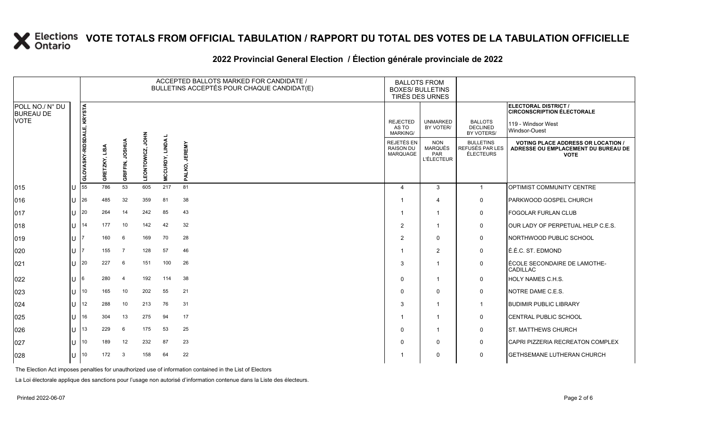## **2022 Provincial General Election / Élection générale provinciale de 2022**

|                                     |     |                           |                  |                           |                   |                                | ACCEPTED BALLOTS MARKED FOR CANDIDATE /<br>BULLETINS ACCEPTÉS POUR CHAQUE CANDIDAT(E) | <b>BALLOTS FROM</b><br><b>BOXES/ BULLETINS</b><br>TIRÉS DES URNES |                                                          |                                                  |                                                                                                 |
|-------------------------------------|-----|---------------------------|------------------|---------------------------|-------------------|--------------------------------|---------------------------------------------------------------------------------------|-------------------------------------------------------------------|----------------------------------------------------------|--------------------------------------------------|-------------------------------------------------------------------------------------------------|
| POLL NO./ N° DU<br><b>BUREAU DE</b> |     |                           |                  |                           |                   |                                |                                                                                       |                                                                   |                                                          |                                                  | ELECTORAL DISTRICT /<br><b>CIRCONSCRIPTION ÉLECTORALE</b>                                       |
| <b>VOTE</b>                         |     |                           |                  |                           |                   |                                |                                                                                       | <b>REJECTED</b><br>AS TO<br><b>MARKING/</b>                       | <b>UNMARKED</b><br>BY VOTER/                             | <b>BALLOTS</b><br><b>DECLINED</b><br>BY VOTERS/  | 119 - Windsor West<br>Windsor-Ouest                                                             |
|                                     |     | GLOVASKY-RIDSDALE, KRYSTA | LISA<br>GRETZKY, | <b>AURSOL</b><br>GRIFFIN, | ĔР<br>LEONTOWICZ, | <b>LINDA</b><br><b>MCCURDY</b> | <b>JEREMY</b><br>PALKO,                                                               | REJETÉS EN<br>RAISON DU<br>MARQUAGE                               | <b>NON</b><br><b>MARQUÉS</b><br>PAR<br><b>L'ÉLECTEUR</b> | <b>BULLETINS</b><br>REFUSÉS PAR LES<br>ÉLECTEURS | <b>VOTING PLACE ADDRESS OR LOCATION /</b><br>ADRESSE OU EMPLACEMENT DU BUREAU DE<br><b>VOTE</b> |
|                                     |     |                           | 786              | 53                        | 605               | 217                            | 81                                                                                    |                                                                   |                                                          |                                                  |                                                                                                 |
| 015                                 | IU  | 55                        |                  |                           |                   |                                |                                                                                       | 4                                                                 | 3                                                        | $\mathbf{1}$                                     | <b>OPTIMIST COMMUNITY CENTRE</b>                                                                |
| 016                                 | lU. | 26                        | 485              | 32                        | 359               | 81                             | 38                                                                                    |                                                                   | $\overline{4}$                                           | 0                                                | <b>PARKWOOD GOSPEL CHURCH</b>                                                                   |
| 017                                 | IU. | 20                        | 264              | 14                        | 242               | 85                             | 43                                                                                    |                                                                   | $\overline{\mathbf{1}}$                                  | 0                                                | <b>FOGOLAR FURLAN CLUB</b>                                                                      |
| 018                                 | IU. | 14                        | 177              | 10                        | 142               | 42                             | 32                                                                                    | $\overline{2}$                                                    | $\overline{\mathbf{1}}$                                  | 0                                                | OUR LADY OF PERPETUAL HELP C.E.S.                                                               |
| 019                                 | IU. |                           | 160              | 6                         | 169               | 70                             | 28                                                                                    | $\overline{2}$                                                    | $\Omega$                                                 | 0                                                | NORTHWOOD PUBLIC SCHOOL                                                                         |
| 020                                 | IU  |                           | 155              | $\overline{7}$            | 128               | 57                             | 46                                                                                    |                                                                   | $\overline{2}$                                           | 0                                                | É.É.C. ST. EDMOND                                                                               |
| 021                                 | IU  | 20                        | 227              | 6                         | 151               | 100                            | 26                                                                                    | 3                                                                 |                                                          | 0                                                | ÉCOLE SECONDAIRE DE LAMOTHE-<br><b>CADILLAC</b>                                                 |
| 022                                 | IU  | 6                         | 280              | $\overline{4}$            | 192               | 114                            | 38                                                                                    | $\Omega$                                                          | $\overline{1}$                                           | 0                                                | <b>HOLY NAMES C.H.S.</b>                                                                        |
| 023                                 | lU  | 10                        | 165              | 10                        | 202               | 55                             | 21                                                                                    | $\Omega$                                                          | $\Omega$                                                 | 0                                                | NOTRE DAME C.E.S.                                                                               |
| 024                                 | lU. | 12                        | 288              | 10                        | 213               | 76                             | 31                                                                                    | 3                                                                 | $\overline{\mathbf{1}}$                                  | $\mathbf 1$                                      | <b>BUDIMIR PUBLIC LIBRARY</b>                                                                   |
| 025                                 | lU. | 16                        | 304              | 13                        | 275               | 94                             | 17                                                                                    |                                                                   | $\overline{1}$                                           | 0                                                | <b>CENTRAL PUBLIC SCHOOL</b>                                                                    |
| 026                                 | lU. | 13                        | 229              | 6                         | 175               | 53                             | 25                                                                                    | $\Omega$                                                          | $\overline{\mathbf{1}}$                                  | 0                                                | <b>ST. MATTHEWS CHURCH</b>                                                                      |
| 027                                 | lU. | 10                        | 189              | 12                        | 232               | 87                             | 23                                                                                    | $\Omega$                                                          | $\mathbf 0$                                              | $\mathbf 0$                                      | CAPRI PIZZERIA RECREATON COMPLEX                                                                |
| 028                                 | IU. | 10                        | 172              | 3                         | 158               | 64                             | 22                                                                                    |                                                                   | 0                                                        | 0                                                | <b>GETHSEMANE LUTHERAN CHURCH</b>                                                               |

The Election Act imposes penalties for unauthorized use of information contained in the List of Electors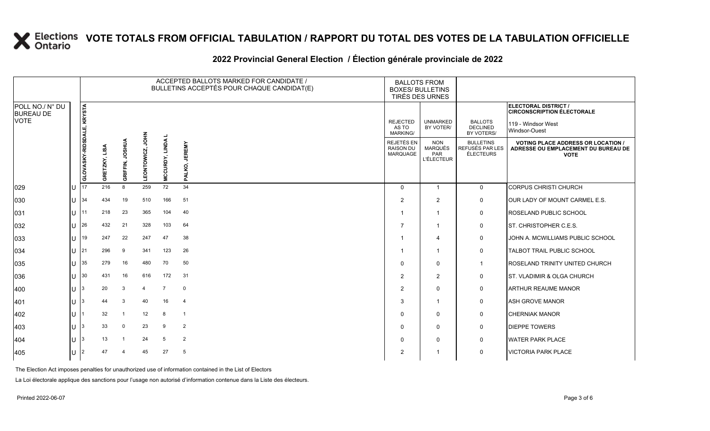### **2022 Provincial General Election / Élection générale provinciale de 2022**

|                                                    |    |                                  |               |                 |                    |                | ACCEPTED BALLOTS MARKED FOR CANDIDATE /<br>BULLETINS ACCEPTÉS POUR CHAQUE CANDIDAT(E) | <b>BALLOTS FROM</b><br><b>BOXES/ BULLETINS</b>                | TIRÉS DES URNES                                   |                                                                |                                                                                                  |
|----------------------------------------------------|----|----------------------------------|---------------|-----------------|--------------------|----------------|---------------------------------------------------------------------------------------|---------------------------------------------------------------|---------------------------------------------------|----------------------------------------------------------------|--------------------------------------------------------------------------------------------------|
| POLL NO./ N° DU<br><b>BUREAU DE</b><br><b>VOTE</b> |    |                                  |               |                 |                    |                |                                                                                       | <b>REJECTED</b><br>AS TO                                      | <b>UNMARKED</b><br>BY VOTER/                      | <b>BALLOTS</b><br><b>DECLINED</b>                              | ELECTORAL DISTRICT /<br><b>CIRCONSCRIPTION ÉLECTORALE</b><br>119 - Windsor West<br>Windsor-Ouest |
|                                                    |    | <b>GLOVASKY-RIDSDALE, KRYSTA</b> | GRETZKY, LISA | GRIFFIN, JOSHUA | HPS<br>LEONTOWICZ, | MCCURDY, LINDA | <b>JEREMY</b><br>PALKO,                                                               | <b>MARKING/</b><br>REJETÉS EN<br><b>RAISON DU</b><br>MARQUAGE | <b>NON</b><br>MARQUÉS<br>PAR<br><b>L'ÉLECTEUR</b> | BY VOTERS/<br><b>BULLETINS</b><br>REFUSÉS PAR LES<br>ÉLECTEURS | <b>VOTING PLACE ADDRESS OR LOCATION /</b><br>ADRESSE OU EMPLACEMENT DU BUREAU DE<br><b>VOTE</b>  |
| 029                                                | lu | 17                               | 216           | 8               | 259                | 72             | 34                                                                                    | $\Omega$                                                      | $\overline{1}$                                    | $\mathbf 0$                                                    | <b>CORPUS CHRISTI CHURCH</b>                                                                     |
| 030                                                | lu | 34                               | 434           | 19              | 510                | 166            | 51                                                                                    | $\overline{2}$                                                | $\overline{2}$                                    | 0                                                              | OUR LADY OF MOUNT CARMEL E.S.                                                                    |
| 031                                                | hт | 11                               | 218           | 23              | 365                | 104            | 40                                                                                    |                                                               | -1                                                | 0                                                              | <b>ROSELAND PUBLIC SCHOOL</b>                                                                    |
| 032                                                | lu | 26                               | 432           | 21              | 328                | 103            | 64                                                                                    |                                                               | $\overline{\phantom{a}}$                          | 0                                                              | ST. CHRISTOPHER C.E.S.                                                                           |
| 033                                                | lυ | 19                               | 247           | 22              | 247                | 47             | 38                                                                                    |                                                               | $\overline{\bf{4}}$                               | 0                                                              | <b>JOHN A. MCWILLIAMS PUBLIC SCHOOL</b>                                                          |
| 034                                                | lu | 21                               | 296           | 9               | 341                | 123            | 26                                                                                    |                                                               | -1                                                | 0                                                              | TALBOT TRAIL PUBLIC SCHOOL                                                                       |
| 035                                                | Iп | 35                               | 279           | 16              | 480                | 70             | 50                                                                                    | $\Omega$                                                      | $\Omega$                                          | -1                                                             | <b>ROSELAND TRINITY UNITED CHURCH</b>                                                            |
| 036                                                | lu | 30                               | 431           | 16              | 616                | 172            | 31                                                                                    | $\overline{2}$                                                | $\overline{2}$                                    | 0                                                              | ST. VLADIMIR & OLGA CHURCH                                                                       |
| 400                                                | lυ |                                  | 20            | 3               | 4                  | $\overline{7}$ | $\mathbf 0$                                                                           | $\overline{2}$                                                | $\mathbf{0}$                                      | 0                                                              | <b>ARTHUR REAUME MANOR</b>                                                                       |
| 401                                                | IП |                                  | 44            | 3               | 40                 | 16             | $\overline{4}$                                                                        | 3                                                             | -1                                                | 0                                                              | <b>ASH GROVE MANOR</b>                                                                           |
| 402                                                | lu |                                  | 32            |                 | 12                 | 8              | $\overline{1}$                                                                        | 0                                                             | $\Omega$                                          | 0                                                              | <b>CHERNIAK MANOR</b>                                                                            |
| 403                                                | Iп |                                  | 33            | $\Omega$        | 23                 | 9              | $\overline{2}$                                                                        | $\Omega$                                                      | 0                                                 | 0                                                              | <b>DIEPPE TOWERS</b>                                                                             |
| 404                                                | lυ |                                  | 13            |                 | 24                 | 5              | $\overline{2}$                                                                        | $\Omega$                                                      | $\Omega$                                          | 0                                                              | <b>WATER PARK PLACE</b>                                                                          |
| 405                                                | Iυ | 2                                | 47            |                 | 45                 | 27             | 5                                                                                     | 2                                                             |                                                   | 0                                                              | <b>VICTORIA PARK PLACE</b>                                                                       |

The Election Act imposes penalties for unauthorized use of information contained in the List of Electors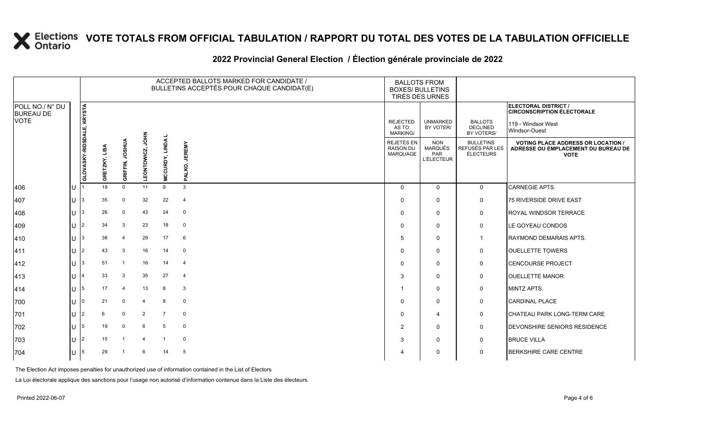### **2022 Provincial General Election / Élection générale provinciale de 2022**

|                                     |                        |                                  |               |                         |                       |                | ACCEPTED BALLOTS MARKED FOR CANDIDATE /<br>BULLETINS ACCEPTÉS POUR CHAQUE CANDIDAT(E) | <b>BALLOTS FROM</b><br><b>BOXES/ BULLETINS</b>    | TIRÉS DES URNES                                          |                                                  |                                                                                                 |
|-------------------------------------|------------------------|----------------------------------|---------------|-------------------------|-----------------------|----------------|---------------------------------------------------------------------------------------|---------------------------------------------------|----------------------------------------------------------|--------------------------------------------------|-------------------------------------------------------------------------------------------------|
| POLL NO./ N° DU<br><b>BUREAU DE</b> |                        |                                  |               |                         |                       |                |                                                                                       |                                                   |                                                          |                                                  | ELECTORAL DISTRICT /<br><b>CIRCONSCRIPTION ÉLECTORALE</b>                                       |
| <b>VOTE</b>                         |                        |                                  |               |                         |                       |                |                                                                                       | <b>REJECTED</b><br>AS TO<br><b>MARKING/</b>       | <b>UNMARKED</b><br>BY VOTER/                             | <b>BALLOTS</b><br><b>DECLINED</b><br>BY VOTERS/  | 119 - Windsor West<br>Windsor-Ouest                                                             |
|                                     |                        | <b>GLOVASKY-RIDSDALE, KRYSTA</b> | GRETZKY, LISA | GRIFFIN, JOSHUA         | 로<br>이<br>LEONTOWICZ, | MCCURDY, LINDA | <b>JEREMY</b><br>PALKO,                                                               | <b>REJETÉS EN</b><br><b>RAISON DU</b><br>MARQUAGE | <b>NON</b><br><b>MARQUÉS</b><br>PAR<br><b>L'ÉLECTEUR</b> | <b>BULLETINS</b><br>REFUSÉS PAR LES<br>ÉLECTEURS | <b>VOTING PLACE ADDRESS OR LOCATION /</b><br>ADRESSE OU EMPLACEMENT DU BUREAU DE<br><b>VOTE</b> |
| 406                                 | U                      |                                  | 19            | $\mathsf{O}$            | 11                    | 9              | 3                                                                                     | $\Omega$                                          | $\mathbf 0$                                              | $\mathbf 0$                                      | <b>CARNEGIE APTS.</b>                                                                           |
| 407                                 | $U$  3                 |                                  | 35            | 0                       | 32                    | 22             | $\overline{4}$                                                                        | $\Omega$                                          | 0                                                        | 0                                                | 75 RIVERSIDE DRIVE EAST                                                                         |
| 408                                 | $U$ 3                  |                                  | 26            | 0                       | 43                    | 24             | $\mathbf 0$                                                                           | $\Omega$                                          | $\mathbf 0$                                              | 0                                                | ROYAL WINDSOR TERRACE                                                                           |
| 409                                 | U                      | l2                               | 34            | 3                       | 23                    | 18             | $\mathbf 0$                                                                           | $\Omega$                                          | $\mathbf 0$                                              | 0                                                | LE GOYEAU CONDOS                                                                                |
| 410                                 | $U$  3                 |                                  | 38            | 4                       | 29                    | 17             | 6                                                                                     | 5                                                 | $\mathbf 0$                                              | $\overline{1}$                                   | <b>RAYMOND DEMARAIS APTS.</b>                                                                   |
| 411                                 | $U$  2                 |                                  | 43            | 3                       | 16                    | 14             | $\mathbf 0$                                                                           | $\Omega$                                          | 0                                                        | 0                                                | <b>OUELLETTE TOWERS</b>                                                                         |
| 412                                 | U                      | 13                               | 51            | $\overline{1}$          | 16                    | 14             | $\overline{4}$                                                                        | $\Omega$                                          | $\mathbf 0$                                              | $\mathbf 0$                                      | <b>CENCOURSE PROJECT</b>                                                                        |
| 413                                 | U                      | 14                               | 33            | 3                       | 35                    | 27             | $\overline{4}$                                                                        | 3                                                 | $\mathbf 0$                                              | 0                                                | <b>OUELLETTE MANOR</b>                                                                          |
| 414                                 | $U$  5                 |                                  | 17            | $\overline{4}$          | 13                    | 8              | $\mathbf{3}$                                                                          |                                                   | $\mathbf 0$                                              | 0                                                | MINTZ APTS.                                                                                     |
| 700                                 | U                      |                                  | 21            | 0                       | 4                     | 8              | $\mathbf 0$                                                                           | $\Omega$                                          | $\mathbf 0$                                              | 0                                                | <b>CARDINAL PLACE</b>                                                                           |
| 701                                 | U $ 2 $                |                                  | 6             | 0                       | $\overline{2}$        | $\overline{7}$ | $\mathbf 0$                                                                           | $\mathbf{0}$                                      | 4                                                        | $\mathbf 0$                                      | <b>CHATEAU PARK LONG-TERM CARE</b>                                                              |
| 702                                 | IU 15                  |                                  | 19            | $\mathbf 0$             | 6                     | 5              | $\mathbf 0$                                                                           | 2                                                 | 0                                                        | $\mathsf{O}$                                     | DEVONSHIRE SENIORS RESIDENCE                                                                    |
| 703                                 | U                      | 12                               | 15            | $\overline{\mathbf{1}}$ | $\overline{4}$        | $\overline{1}$ | $\mathbf 0$                                                                           | 3                                                 | $\mathbf 0$                                              | $\mathbf 0$                                      | <b>BRUCE VILLA</b>                                                                              |
| 704                                 | U $\vert$ <sup>5</sup> |                                  | 29            | -1                      | 6                     | 14             | 5                                                                                     |                                                   | 0                                                        | 0                                                | <b>BERKSHIRE CARE CENTRE</b>                                                                    |

The Election Act imposes penalties for unauthorized use of information contained in the List of Electors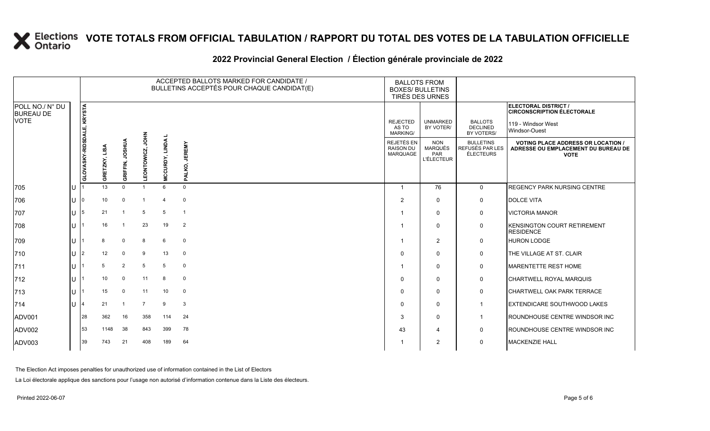### **2022 Provincial General Election / Élection générale provinciale de 2022**

|                                     |    |                           |                     |                           |                    |                | ACCEPTED BALLOTS MARKED FOR CANDIDATE /<br>BULLETINS ACCEPTÉS POUR CHAQUE CANDIDAT(E) | <b>BALLOTS FROM</b><br><b>BOXES/ BULLETINS</b><br>TIRÉS DES URNES |                                                   |                                                  |                                                                                                 |
|-------------------------------------|----|---------------------------|---------------------|---------------------------|--------------------|----------------|---------------------------------------------------------------------------------------|-------------------------------------------------------------------|---------------------------------------------------|--------------------------------------------------|-------------------------------------------------------------------------------------------------|
| POLL NO./ N° DU<br><b>BUREAU DE</b> |    |                           |                     |                           |                    |                |                                                                                       |                                                                   |                                                   |                                                  | ELECTORAL DISTRICT /<br><b>CIRCONSCRIPTION ÉLECTORALE</b>                                       |
| <b>VOTE</b>                         |    |                           |                     |                           |                    |                |                                                                                       | <b>REJECTED</b><br>AS TO<br><b>MARKING/</b>                       | <b>UNMARKED</b><br>BY VOTER/                      | <b>BALLOTS</b><br><b>DECLINED</b><br>BY VOTERS/  | 119 - Windsor West<br>Windsor-Ouest                                                             |
|                                     |    | GLOVASKY-RIDSDALE, KRYSTA | LISA<br>ETZKY,<br>g | <b>AURSOL</b><br>GRIFFIN, | HPS<br>LEONTOWICZ, | MCCURDY, LINDA | <b>JEREMY</b><br>PALKO,                                                               | REJETÉS EN<br><b>RAISON DU</b><br>MARQUAGE                        | <b>NON</b><br>MARQUÉS<br>PAR<br><b>L'ÉLECTEUR</b> | <b>BULLETINS</b><br>REFUSÉS PAR LES<br>ÉLECTEURS | <b>VOTING PLACE ADDRESS OR LOCATION /</b><br>ADRESSE OU EMPLACEMENT DU BUREAU DE<br><b>VOTE</b> |
| 705                                 | lu |                           | 13                  | $\mathbf 0$               |                    | 6              | $\mathbf 0$                                                                           |                                                                   | 76                                                | $\mathbf 0$                                      | <b>REGENCY PARK NURSING CENTRE</b>                                                              |
| 706                                 | lu | n                         | 10 <sup>1</sup>     | $\mathbf 0$               |                    | 4              | $\mathbf 0$                                                                           | 2                                                                 | $\mathbf{0}$                                      | 0                                                | <b>DOLCE VITA</b>                                                                               |
| 707                                 | lu | 5                         | 21                  | -1                        | 5                  | 5              | $\overline{1}$                                                                        |                                                                   | $\Omega$                                          | 0                                                | <b>VICTORIA MANOR</b>                                                                           |
| 708                                 | lu |                           | 16                  |                           | 23                 | 19             | $\overline{2}$                                                                        |                                                                   | $\Omega$                                          | 0                                                | <b>KENSINGTON COURT RETIREMENT</b><br><b>RESIDENCE</b>                                          |
| 709                                 | lu |                           | 8                   | $\mathbf 0$               | 8                  | 6              | $\mathbf 0$                                                                           |                                                                   | 2                                                 | 0                                                | <b>HURON LODGE</b>                                                                              |
| 710                                 | lu | 2                         | 12                  | $\mathbf 0$               | 9                  | 13             | $\mathbf 0$                                                                           | $\Omega$                                                          | $\Omega$                                          | 0                                                | <b>THE VILLAGE AT ST. CLAIR</b>                                                                 |
| 711                                 | lu |                           | 5                   | $\overline{2}$            | 5                  | 5              | $\mathbf 0$                                                                           |                                                                   | $\mathbf{0}$                                      | 0                                                | <b>IMARENTETTE REST HOME</b>                                                                    |
| 712                                 | lu |                           | 10 <sup>°</sup>     | $\mathbf 0$               | 11                 | 8              | $\mathbf{0}$                                                                          | $\Omega$                                                          | $\mathbf{0}$                                      | 0                                                | <b>CHARTWELL ROYAL MARQUIS</b>                                                                  |
| 713                                 | lu |                           | 15                  | $\mathbf 0$               | 11                 | 10             | $\mathbf 0$                                                                           | 0                                                                 | $\mathbf 0$                                       | 0                                                | <b>CHARTWELL OAK PARK TERRACE</b>                                                               |
| 714                                 | lu |                           | 21                  |                           | $\overline{7}$     | 9              | 3                                                                                     | 0                                                                 | $\mathbf 0$                                       | -1                                               | <b>EXTENDICARE SOUTHWOOD LAKES</b>                                                              |
| ADV001                              |    | 28                        | 362                 | 16                        | 358                | 114            | 24                                                                                    | 3                                                                 | $\mathbf 0$                                       | -1                                               | ROUNDHOUSE CENTRE WINDSOR INC                                                                   |
| ADV002                              |    | 53                        | 1148                | 38                        | 843                | 399            | 78                                                                                    | 43                                                                | 4                                                 | 0                                                | ROUNDHOUSE CENTRE WINDSOR INC                                                                   |
| ADV003                              |    | 39                        | 743                 | 21                        | 408                | 189            | 64                                                                                    |                                                                   | $\overline{2}$                                    | 0                                                | <b>MACKENZIE HALL</b>                                                                           |

The Election Act imposes penalties for unauthorized use of information contained in the List of Electors